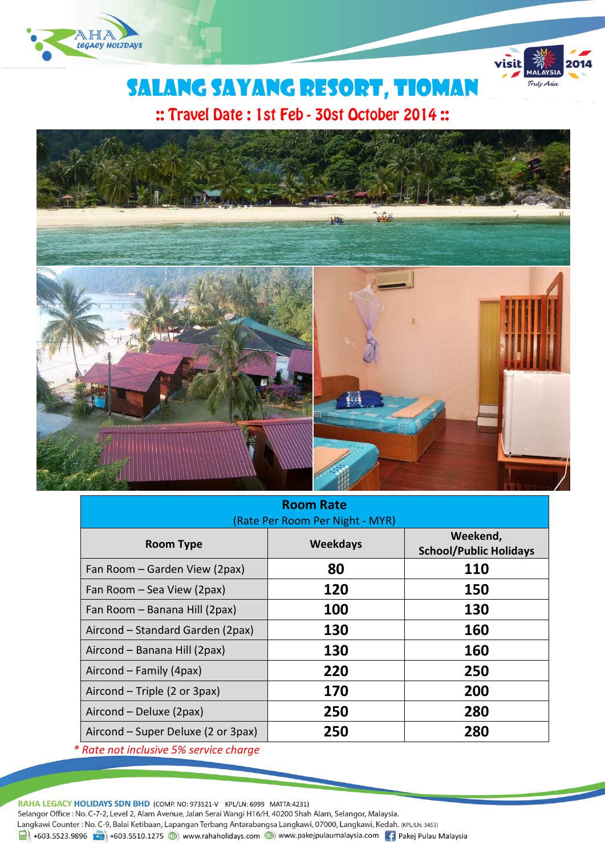



# SALANG SAYANG RESORT, TIOMAN

:: Travel Date: 1st Feb - 30st October 2014:



| <b>Room Rate</b>                |  |  |  |  |  |
|---------------------------------|--|--|--|--|--|
| (Rate Per Room Per Night - MYR) |  |  |  |  |  |

| <b>Room Type</b>                   | <b>Weekdays</b> | Weekend,<br><b>School/Public Holidays</b> |  |  |  |
|------------------------------------|-----------------|-------------------------------------------|--|--|--|
| Fan Room – Garden View (2pax)      | 80              | 110                                       |  |  |  |
| Fan Room - Sea View (2pax)         | 120             | 150                                       |  |  |  |
| Fan Room - Banana Hill (2pax)      | 100             | 130                                       |  |  |  |
| Aircond - Standard Garden (2pax)   | 130             | 160                                       |  |  |  |
| Aircond - Banana Hill (2pax)       | 130             | 160                                       |  |  |  |
| Aircond - Family (4pax)            | 220             | 250                                       |  |  |  |
| Aircond – Triple (2 or 3pax)       | 170             | 200                                       |  |  |  |
| Aircond - Deluxe (2pax)            | 250             | 280                                       |  |  |  |
| Aircond – Super Deluxe (2 or 3pax) | 250             | 280                                       |  |  |  |
|                                    |                 |                                           |  |  |  |

*\* Rate not inclusive 5% service charge*

RAHA LEGACY HOLIDAYS SDN BHD (COMP. NO: 973521-V KPL/LN: 6999 MATTA:4231) Selangor Office : No. C-7-2, Level 2, Alam Avenue, Jalan Serai Wangi H16/H, 40200 Shah Alam, Selangor, Malaysia. Langkawi Counter: No. C-9, Balai Ketibaan, Lapangan Terbang Antarabangsa Langkawi, 07000, Langkawi, Kedah. (KPL/LN: 3453) 1 +603.5523.9896 +603.5510.1275 (b) www.rahaholidays.com (b) www.pakejpulaumalaysia.com + Pakej Pulau Malaysia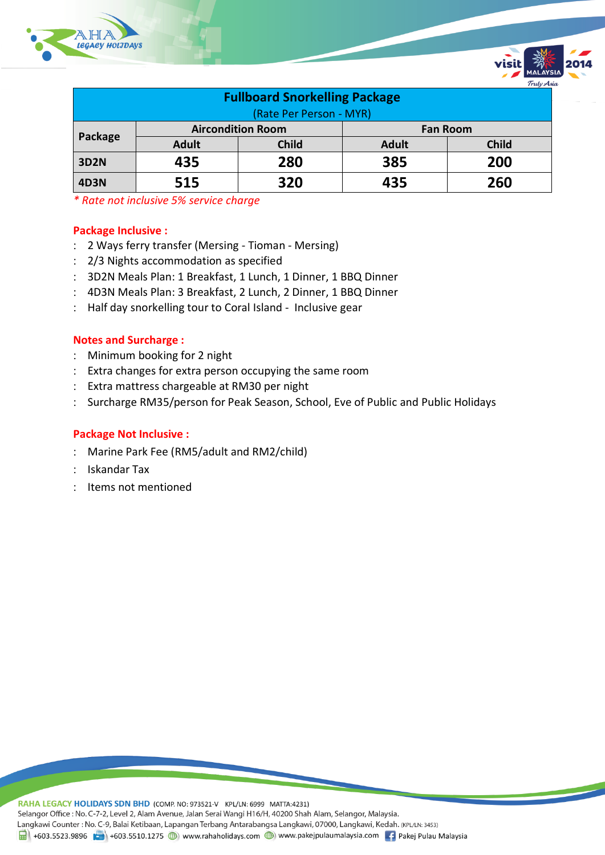

| <b>Fullboard Snorkelling Package</b> |                          |              |                 |              |  |  |
|--------------------------------------|--------------------------|--------------|-----------------|--------------|--|--|
| (Rate Per Person - MYR)              |                          |              |                 |              |  |  |
|                                      | <b>Aircondition Room</b> |              | <b>Fan Room</b> |              |  |  |
| Package                              | <b>Adult</b>             | <b>Child</b> | <b>Adult</b>    | <b>Child</b> |  |  |
| <b>3D2N</b>                          | 435                      | 280          | 385             | 200          |  |  |
| <b>4D3N</b>                          | 515                      | 320          | 435             | 260          |  |  |

*\* Rate not inclusive 5% service charge*

#### **Package Inclusive :**

- 2 Ways ferry transfer (Mersing Tioman Mersing)
- 2/3 Nights accommodation as specified
- 3D2N Meals Plan: 1 Breakfast, 1 Lunch, 1 Dinner, 1 BBQ Dinner
- 4D3N Meals Plan: 3 Breakfast, 2 Lunch, 2 Dinner, 1 BBQ Dinner
- : Half day snorkelling tour to Coral Island Inclusive gear

#### **Notes and Surcharge :**

- Minimum booking for 2 night
- Extra changes for extra person occupying the same room
- Extra mattress chargeable at RM30 per night
- Surcharge RM35/person for Peak Season, School, Eve of Public and Public Holidays

#### **Package Not Inclusive :**

- Marine Park Fee (RM5/adult and RM2/child)
- : Iskandar Tax
- : Items not mentioned